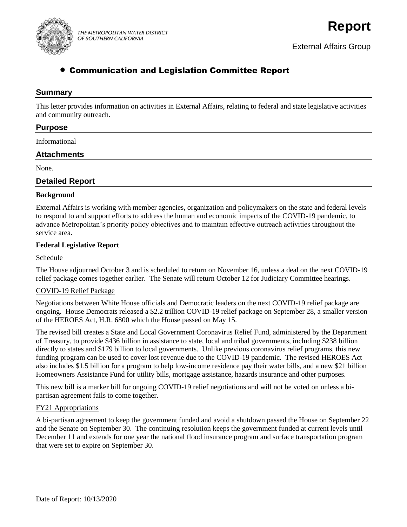

# • Communication and Legislation Committee Report

### **Summary**

This letter provides information on activities in External Affairs, relating to federal and state legislative activities and community outreach.

### **Purpose**

Informational

### **Attachments**

None.

### **Detailed Report**

#### **Background**

External Affairs is working with member agencies, organization and policymakers on the state and federal levels to respond to and support efforts to address the human and economic impacts of the COVID-19 pandemic, to advance Metropolitan's priority policy objectives and to maintain effective outreach activities throughout the service area.

#### **Federal Legislative Report**

#### Schedule

The House adjourned October 3 and is scheduled to return on November 16, unless a deal on the next COVID-19 relief package comes together earlier. The Senate will return October 12 for Judiciary Committee hearings.

#### COVID-19 Relief Package

Negotiations between White House officials and Democratic leaders on the next COVID-19 relief package are ongoing. House Democrats released a \$2.2 trillion COVID-19 relief package on September 28, a smaller version of the HEROES Act, H.R. 6800 which the House passed on May 15.

The revised bill creates a State and Local Government Coronavirus Relief Fund, administered by the Department of Treasury, to provide \$436 billion in assistance to state, local and tribal governments, including \$238 billion directly to states and \$179 billion to local governments. Unlike previous coronavirus relief programs, this new funding program can be used to cover lost revenue due to the COVID-19 pandemic. The revised HEROES Act also includes \$1.5 billion for a program to help low-income residence pay their water bills, and a new \$21 billion Homeowners Assistance Fund for utility bills, mortgage assistance, hazards insurance and other purposes.

This new bill is a marker bill for ongoing COVID-19 relief negotiations and will not be voted on unless a bipartisan agreement fails to come together.

#### FY21 Appropriations

A bi-partisan agreement to keep the government funded and avoid a shutdown passed the House on September 22 and the Senate on September 30. The continuing resolution keeps the government funded at current levels until December 11 and extends for one year the national flood insurance program and surface transportation program that were set to expire on September 30.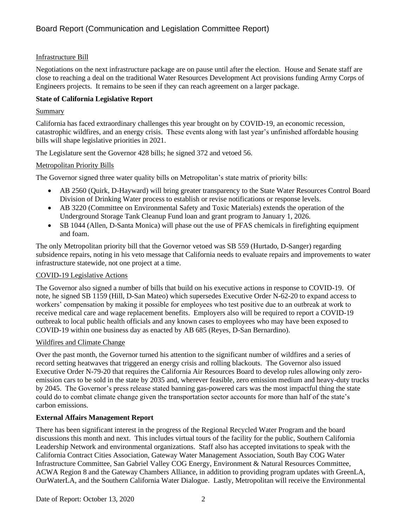### Infrastructure Bill

Negotiations on the next infrastructure package are on pause until after the election. House and Senate staff are close to reaching a deal on the traditional Water Resources Development Act provisions funding Army Corps of Engineers projects. It remains to be seen if they can reach agreement on a larger package.

### **State of California Legislative Report**

### Summary

California has faced extraordinary challenges this year brought on by COVID-19, an economic recession, catastrophic wildfires, and an energy crisis. These events along with last year's unfinished affordable housing bills will shape legislative priorities in 2021.

The Legislature sent the Governor 428 bills; he signed 372 and vetoed 56.

#### Metropolitan Priority Bills

The Governor signed three water quality bills on Metropolitan's state matrix of priority bills:

- AB 2560 (Quirk, D-Hayward) will bring greater transparency to the State Water Resources Control Board Division of Drinking Water process to establish or revise notifications or response levels.
- AB 3220 (Committee on Environmental Safety and Toxic Materials) extends the operation of the Underground Storage Tank Cleanup Fund loan and grant program to January 1, 2026.
- SB 1044 (Allen, D-Santa Monica) will phase out the use of PFAS chemicals in firefighting equipment and foam.

The only Metropolitan priority bill that the Governor vetoed was SB 559 (Hurtado, D-Sanger) regarding subsidence repairs, noting in his veto message that California needs to evaluate repairs and improvements to water infrastructure statewide, not one project at a time.

#### COVID-19 Legislative Actions

The Governor also signed a number of bills that build on his executive actions in response to COVID-19. Of note, he signed SB 1159 (Hill, D-San Mateo) which supersedes Executive Order N-62-20 to expand access to workers' compensation by making it possible for employees who test positive due to an outbreak at work to receive medical care and wage replacement benefits. Employers also will be required to report a COVID-19 outbreak to local public health officials and any known cases to employees who may have been exposed to COVID-19 within one business day as enacted by AB 685 (Reyes, D-San Bernardino).

### Wildfires and Climate Change

Over the past month, the Governor turned his attention to the significant number of wildfires and a series of record setting heatwaves that triggered an energy crisis and rolling blackouts. The Governor also issued Executive Order N-79-20 that requires the California Air Resources Board to develop rules allowing only zeroemission cars to be sold in the state by 2035 and, wherever feasible, zero emission medium and heavy-duty trucks by 2045. The Governor's press release stated banning gas-powered cars was the most impactful thing the state could do to combat climate change given the transportation sector accounts for more than half of the state's carbon emissions.

### **External Affairs Management Report**

There has been significant interest in the progress of the Regional Recycled Water Program and the board discussions this month and next. This includes virtual tours of the facility for the public, Southern California Leadership Network and environmental organizations. Staff also has accepted invitations to speak with the California Contract Cities Association, Gateway Water Management Association, South Bay COG Water Infrastructure Committee, San Gabriel Valley COG Energy, Environment & Natural Resources Committee, ACWA Region 8 and the Gateway Chambers Alliance, in addition to providing program updates with GreenLA, OurWaterLA, and the Southern California Water Dialogue. Lastly, Metropolitan will receive the Environmental